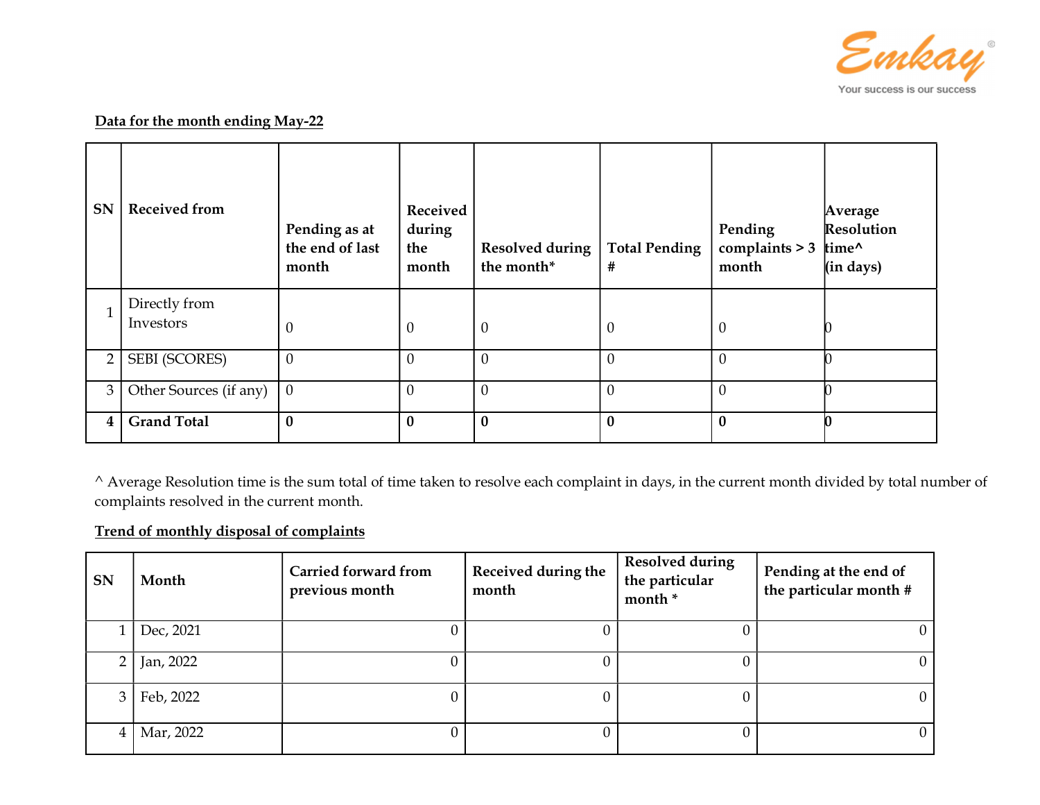

## Data for the month ending May-22

| <b>SN</b>      | <b>Received from</b>       | Pending as at<br>the end of last<br>month | Received<br>during<br>the<br>month | <b>Resolved during</b><br>the month* | <b>Total Pending</b><br># | Pending<br>complaints $> 3$<br>month | Average<br>Resolution<br>time <sup>^</sup><br>(in days) |
|----------------|----------------------------|-------------------------------------------|------------------------------------|--------------------------------------|---------------------------|--------------------------------------|---------------------------------------------------------|
|                | Directly from<br>Investors | $\theta$                                  | $\mathbf{0}$                       | $\theta$                             | $\theta$                  | $\theta$                             |                                                         |
| $\overline{2}$ | <b>SEBI (SCORES)</b>       | $\theta$                                  | $\mathbf{0}$                       | $\theta$                             | $\theta$                  | $\overline{0}$                       |                                                         |
| 3              | Other Sources (if any)     | $\mathbf{0}$                              | $\overline{0}$                     | $\overline{0}$                       | $\theta$                  | $\overline{0}$                       |                                                         |
| 4              | <b>Grand Total</b>         | $\bf{0}$                                  | $\bf{0}$                           | $\bf{0}$                             | $\bf{0}$                  | $\bf{0}$                             |                                                         |

^ Average Resolution time is the sum total of time taken to resolve each complaint in days, in the current month divided by total number of complaints resolved in the current month.

## Trend of monthly disposal of complaints

| <b>SN</b>      | Month     | <b>Carried forward from</b><br>previous month | Received during the<br>month | <b>Resolved during</b><br>the particular<br>month * | Pending at the end of<br>the particular month # |
|----------------|-----------|-----------------------------------------------|------------------------------|-----------------------------------------------------|-------------------------------------------------|
|                | Dec, 2021 |                                               |                              | U                                                   | $\theta$                                        |
| 2 <sub>1</sub> | Jan, 2022 |                                               |                              | 0                                                   | $\overline{0}$                                  |
| 3 <sub>1</sub> | Feb, 2022 |                                               |                              | 0                                                   | $\overline{0}$                                  |
| 4              | Mar, 2022 |                                               |                              | 0                                                   | $\overline{0}$                                  |